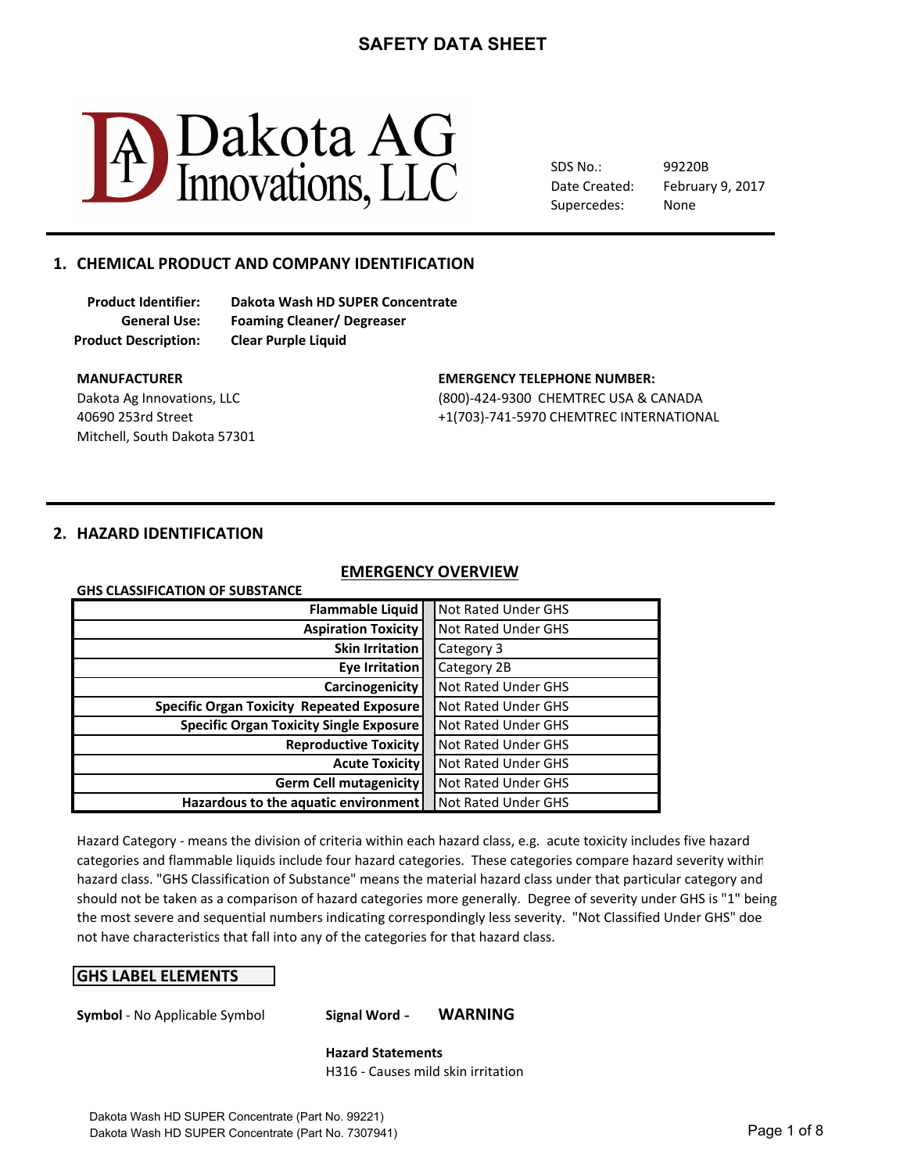

SDS No.: Date Created: Supercedes: 99220B None

February 9, 2017

### 1. CHEMICAL PRODUCT AND COMPANY IDENTIFICATION

**Product Description: Clear Purple Liquid**

**Product Identifier: Dakota Wash HD SUPER Concentrate General Use: Foaming Cleaner/ Degreaser**

Mitchell, South Dakota 57301

#### **MANUFACTURER COMPUTER:** THE SERVICE OF STATE EMERGENCY TELEPHONE NUMBER:

Dakota Ag Innovations, LLC **CHEMTREC USA & CANADA** 40690 253rd Street +1(703)-741-5970 CHEMTREC INTERNATIONAL

#### **2. HAZARD IDENTIFICATION**

**GHS CLASSIFICATION OF SUBSTANCE** 

## **EMERGENCY OVERVIEW**

| <b>Flammable Liquid</b>                                            |  | <b>Not Rated Under GHS</b> |
|--------------------------------------------------------------------|--|----------------------------|
| <b>Aspiration Toxicity</b>                                         |  | Not Rated Under GHS        |
| <b>Skin Irritation</b>                                             |  | Category 3                 |
| Eye Irritation                                                     |  | Category 2B                |
| Carcinogenicity                                                    |  | <b>Not Rated Under GHS</b> |
| <b>Specific Organ Toxicity Repeated Exposure</b>                   |  | <b>Not Rated Under GHS</b> |
| <b>Specific Organ Toxicity Single Exposure</b>                     |  | <b>Not Rated Under GHS</b> |
| <b>Reproductive Toxicity</b>                                       |  | <b>Not Rated Under GHS</b> |
| <b>Acute Toxicity</b>                                              |  | <b>Not Rated Under GHS</b> |
| <b>Germ Cell mutagenicity</b>                                      |  | <b>Not Rated Under GHS</b> |
| Hazardous to the aquatic environment<br><b>Not Rated Under GHS</b> |  |                            |

Hazard Category - means the division of criteria within each hazard class, e.g. acute toxicity includes five hazard hazard class. "GHS Classification of Substance" means the material hazard class under that particular category and should not be taken as a comparison of hazard categories more generally. Degree of severity under GHS is "1" being not have characteristics that fall into any of the categories for that hazard class. categories and flammable liquids include four hazard categories. These categories compare hazard severity within the most severe and sequential numbers indicating correspondingly less severity. "Not Classified Under GHS" doe

#### **GHS LABEL ELEMENTS**

**Symbol** - No Applicable Symbol **Signal Word - WARNING** 

**Hazard Statements** H316 - Causes mild skin irritation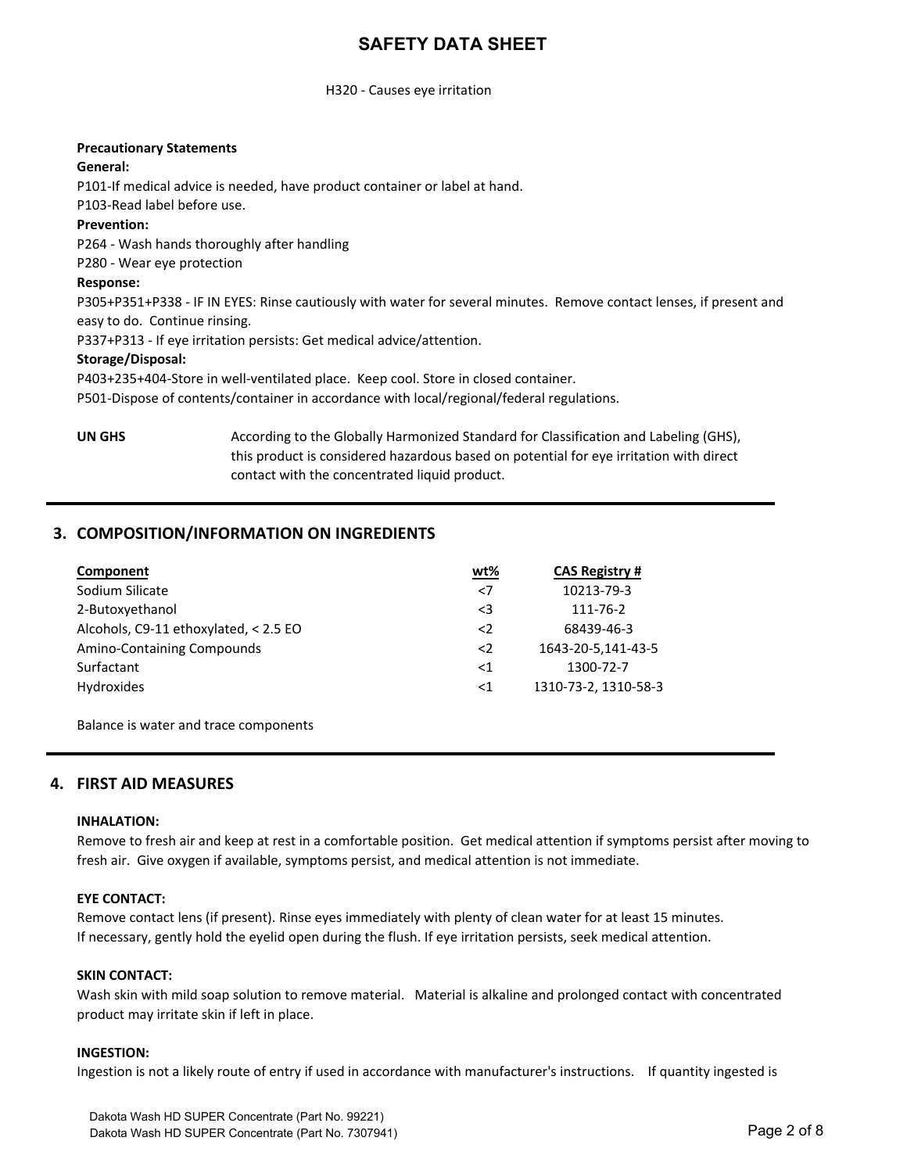#### H320 - Causes eye irritation

#### **Precautionary Statements**

#### **General:**

P101-If medical advice is needed, have product container or label at hand.

P103-Read label before use.

#### **Prevention:**

P264 - Wash hands thoroughly after handling

P280 - Wear eye protection

#### **Response:**

P305+P351+P338 - IF IN EYES: Rinse cautiously with water for several minutes. Remove contact lenses, if present and easy to do. Continue rinsing.

P337+P313 - If eye irritation persists: Get medical advice/attention.

#### **Storage/Disposal:**

P403+235+404-Store in well-ventilated place. Keep cool. Store in closed container.

P501-Dispose of contents/container in accordance with local/regional/federal regulations.

**UN GHS** According to the Globally Harmonized Standard for Classification and Labeling (GHS), this product is considered hazardous based on potential for eye irritation with direct contact with the concentrated liquid product.

### **3. COMPOSITION/INFORMATION ON INGREDIENTS**

| Component                             | wt%         | <b>CAS Registry #</b> |
|---------------------------------------|-------------|-----------------------|
| Sodium Silicate                       | $<$ 7       | 10213-79-3            |
| 2-Butoxyethanol                       | $\leq$ 3    | 111-76-2              |
| Alcohols, C9-11 ethoxylated, < 2.5 EO | $\langle$   | 68439-46-3            |
| Amino-Containing Compounds            | $\langle 2$ | 1643-20-5,141-43-5    |
| Surfactant                            | $<$ 1       | 1300-72-7             |
| Hydroxides                            | ${<}1$      | 1310-73-2, 1310-58-3  |

Balance is water and trace components

#### **4. FIRST AID MEASURES**

#### **INHALATION:**

Remove to fresh air and keep at rest in a comfortable position. Get medical attention if symptoms persist after moving to fresh air. Give oxygen if available, symptoms persist, and medical attention is not immediate.

#### **EYE CONTACT:**

Remove contact lens (if present). Rinse eyes immediately with plenty of clean water for at least 15 minutes. If necessary, gently hold the eyelid open during the flush. If eye irritation persists, seek medical attention.

#### **SKIN CONTACT:**

Wash skin with mild soap solution to remove material. Material is alkaline and prolonged contact with concentrated product may irritate skin if left in place.

#### **INGESTION:**

Ingestion is not a likely route of entry if used in accordance with manufacturer's instructions. If quantity ingested is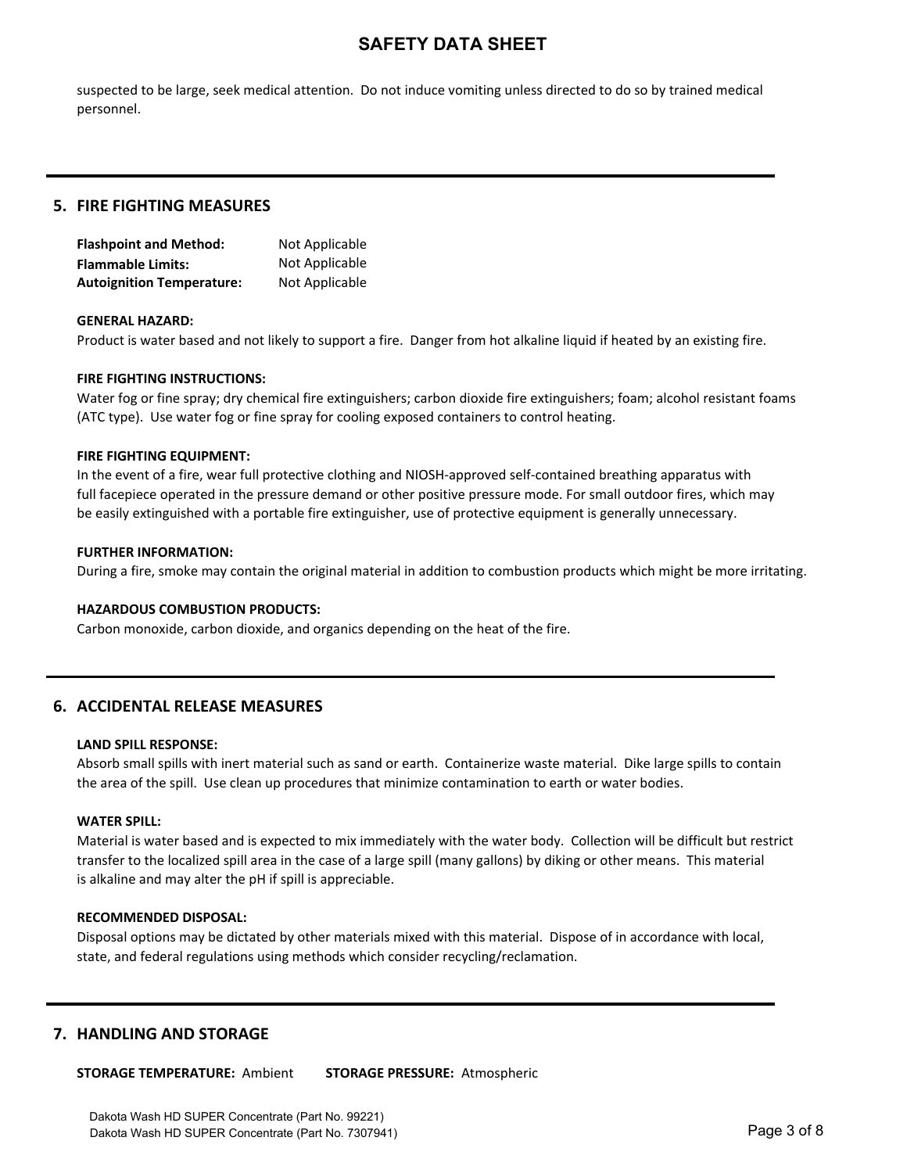suspected to be large, seek medical attention. Do not induce vomiting unless directed to do so by trained medical personnel.

#### **5. FIRE FIGHTING MEASURES**

| <b>Flashpoint and Method:</b>    | Not Applicable |
|----------------------------------|----------------|
| <b>Flammable Limits:</b>         | Not Applicable |
| <b>Autoignition Temperature:</b> | Not Applicable |

#### **GENERAL HAZARD:**

Product is water based and not likely to support a fire. Danger from hot alkaline liquid if heated by an existing fire.

#### **FIRE FIGHTING INSTRUCTIONS:**

Water fog or fine spray; dry chemical fire extinguishers; carbon dioxide fire extinguishers; foam; alcohol resistant foams (ATC type). Use water fog or fine spray for cooling exposed containers to control heating.

#### **FIRE FIGHTING EQUIPMENT:**

In the event of a fire, wear full protective clothing and NIOSH-approved self-contained breathing apparatus with full facepiece operated in the pressure demand or other positive pressure mode. For small outdoor fires, which may be easily extinguished with a portable fire extinguisher, use of protective equipment is generally unnecessary.

#### **FURTHER INFORMATION:**

During a fire, smoke may contain the original material in addition to combustion products which might be more irritating.

#### **HAZARDOUS COMBUSTION PRODUCTS:**

Carbon monoxide, carbon dioxide, and organics depending on the heat of the fire.

#### **6. ACCIDENTAL RELEASE MEASURES**

#### **LAND SPILL RESPONSE:**

Absorb small spills with inert material such as sand or earth. Containerize waste material. Dike large spills to contain the area of the spill. Use clean up procedures that minimize contamination to earth or water bodies.

#### **WATER SPILL:**

Material is water based and is expected to mix immediately with the water body. Collection will be difficult but restrict transfer to the localized spill area in the case of a large spill (many gallons) by diking or other means. This material is alkaline and may alter the pH if spill is appreciable.

#### **RECOMMENDED DISPOSAL:**

Disposal options may be dictated by other materials mixed with this material. Dispose of in accordance with local, state, and federal regulations using methods which consider recycling/reclamation.

#### **7. HANDLING AND STORAGE**

**STORAGE TEMPERATURE: Ambient STORAGE PRESSURE: Atmospheric**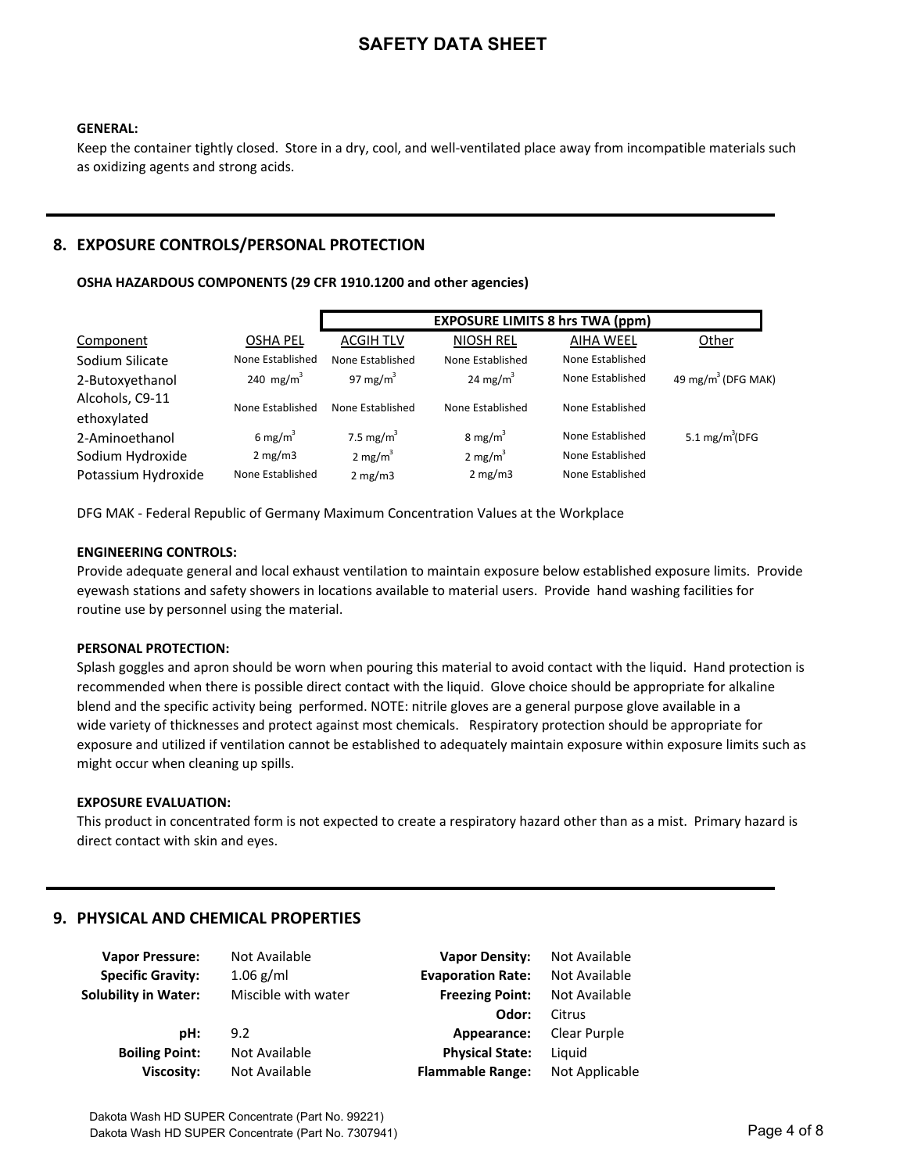#### **GENERAL:**

Keep the container tightly closed. Store in a dry, cool, and well-ventilated place away from incompatible materials such as oxidizing agents and strong acids.

### **8. EXPOSURE CONTROLS/PERSONAL PROTECTION**

#### OSHA HAZARDOUS COMPONENTS (29 CFR 1910.1200 and other agencies)

|                     |                       |                    | <b>EXPOSURE LIMITS 8 hrs TWA (ppm)</b> |                  |                                |
|---------------------|-----------------------|--------------------|----------------------------------------|------------------|--------------------------------|
| Component           | <b>OSHA PEL</b>       | <b>ACGIH TLV</b>   | <b>NIOSH REL</b>                       | <b>AIHA WEEL</b> | Other                          |
| Sodium Silicate     | None Established      | None Established   | None Established                       | None Established |                                |
| 2-Butoxyethanol     | 240 mg/m <sup>3</sup> | 97 mg/m $3$        | 24 mg/ $m^3$                           | None Established | 49 mg/m <sup>3</sup> (DFG MAK) |
| Alcohols, C9-11     | None Established      | None Established   | None Established                       | None Established |                                |
| ethoxylated         |                       |                    |                                        |                  |                                |
| 2-Aminoethanol      | 6 mg/m <sup>3</sup>   | 7.5 mg/ $m^3$      | 8 mg/m <sup>3</sup>                    | None Established | 5.1 $mg/m^3$ (DFG              |
| Sodium Hydroxide    | 2 mg/m3               | $2 \text{ mg/m}^3$ | 2 mg/ $m^3$                            | None Established |                                |
| Potassium Hydroxide | None Established      | 2 mg/m3            | 2 mg/m3                                | None Established |                                |

DFG MAK - Federal Republic of Germany Maximum Concentration Values at the Workplace

#### **ENGINEERING CONTROLS:**

Provide adequate general and local exhaust ventilation to maintain exposure below established exposure limits. Provide eyewash stations and safety showers in locations available to material users. Provide hand washing facilities for routine use by personnel using the material.

#### **PERSONAL PROTECTION:**

Splash goggles and apron should be worn when pouring this material to avoid contact with the liquid. Hand protection is recommended when there is possible direct contact with the liquid. Glove choice should be appropriate for alkaline blend and the specific activity being performed. NOTE: nitrile gloves are a general purpose glove available in a wide variety of thicknesses and protect against most chemicals. Respiratory protection should be appropriate for exposure and utilized if ventilation cannot be established to adequately maintain exposure within exposure limits such as might occur when cleaning up spills.

#### **EXPOSURE EVALUATION:**

This product in concentrated form is not expected to create a respiratory hazard other than as a mist. Primary hazard is direct contact with skin and eyes.

#### **9. PHYSICAL AND CHEMICAL PROPERTIES**

| <b>Vapor Pressure:</b>      | Not Available       | <b>Vapor Density:</b>    | Not Available  |
|-----------------------------|---------------------|--------------------------|----------------|
| <b>Specific Gravity:</b>    | $1.06$ g/ml         | <b>Evaporation Rate:</b> | Not Available  |
| <b>Solubility in Water:</b> | Miscible with water | <b>Freezing Point:</b>   | Not Available  |
|                             |                     | Odor:                    | Citrus         |
| pH:                         | 9.2                 | Appearance:              | Clear Purple   |
| <b>Boiling Point:</b>       | Not Available       | <b>Physical State:</b>   | Liquid         |
| <b>Viscosity:</b>           | Not Available       | <b>Flammable Range:</b>  | Not Applicable |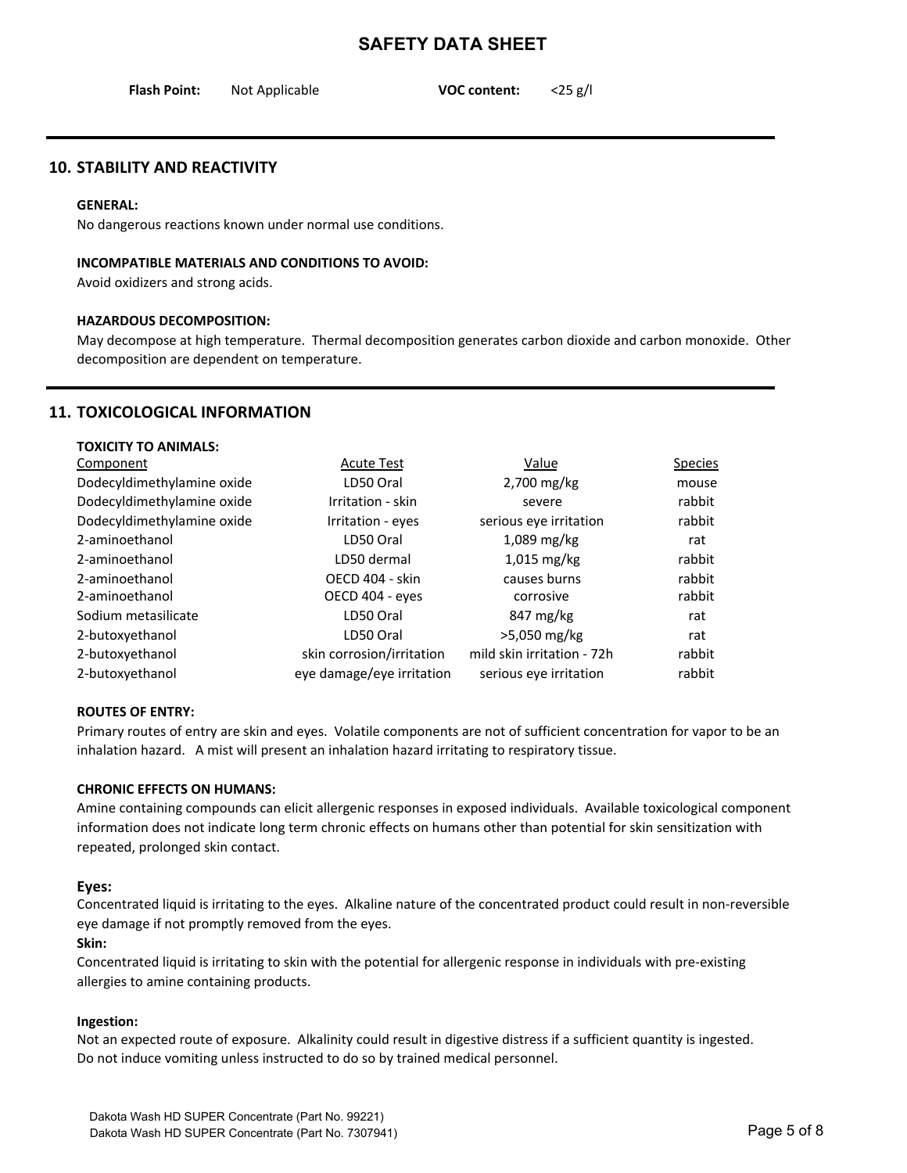| <b>Flash Point:</b> | Not Applicable | <b>VOC content:</b> | $<$ 25 g/l |
|---------------------|----------------|---------------------|------------|
|                     |                |                     |            |

#### **10. STABILITY AND REACTIVITY**

#### **GENERAL:**

No dangerous reactions known under normal use conditions.

#### **INCOMPATIBLE MATERIALS AND CONDITIONS TO AVOID:**

Avoid oxidizers and strong acids.

#### **HAZARDOUS DECOMPOSITION:**

May decompose at high temperature. Thermal decomposition generates carbon dioxide and carbon monoxide. Other decomposition are dependent on temperature.

### **11. TOXICOLOGICAL INFORMATION**

| <b>TOXICITY TO ANIMALS:</b> |                           |                            |                |
|-----------------------------|---------------------------|----------------------------|----------------|
| Component                   | <b>Acute Test</b>         | Value                      | <b>Species</b> |
| Dodecyldimethylamine oxide  | LD50 Oral                 | 2,700 mg/kg                | mouse          |
| Dodecyldimethylamine oxide  | Irritation - skin         | severe                     | rabbit         |
| Dodecyldimethylamine oxide  | Irritation - eyes         | serious eye irritation     | rabbit         |
| 2-aminoethanol              | LD50 Oral                 | $1,089$ mg/kg              | rat            |
| 2-aminoethanol              | LD50 dermal               | $1,015$ mg/kg              | rabbit         |
| 2-aminoethanol              | OECD 404 - skin           | causes burns               | rabbit         |
| 2-aminoethanol              | OECD 404 - eyes           | corrosive                  | rabbit         |
| Sodium metasilicate         | LD50 Oral                 | 847 mg/kg                  | rat            |
| 2-butoxyethanol             | LD50 Oral                 | >5,050 mg/kg               | rat            |
| 2-butoxyethanol             | skin corrosion/irritation | mild skin irritation - 72h | rabbit         |
| 2-butoxyethanol             | eye damage/eye irritation | serious eye irritation     | rabbit         |

#### **ROUTES OF ENTRY:**

Primary routes of entry are skin and eyes. Volatile components are not of sufficient concentration for vapor to be an inhalation hazard. A mist will present an inhalation hazard irritating to respiratory tissue.

#### **CHRONIC EFFECTS ON HUMANS:**

Amine containing compounds can elicit allergenic responses in exposed individuals. Available toxicological component information does not indicate long term chronic effects on humans other than potential for skin sensitization with repeated, prolonged skin contact.

#### Eyes:

Concentrated liquid is irritating to the eyes. Alkaline nature of the concentrated product could result in non-reversible eye damage if not promptly removed from the eyes.

#### **Skin:**

Concentrated liquid is irritating to skin with the potential for allergenic response in individuals with pre-existing allergies to amine containing products.

#### **Ingestion:**

Not an expected route of exposure. Alkalinity could result in digestive distress if a sufficient quantity is ingested. Do not induce vomiting unless instructed to do so by trained medical personnel.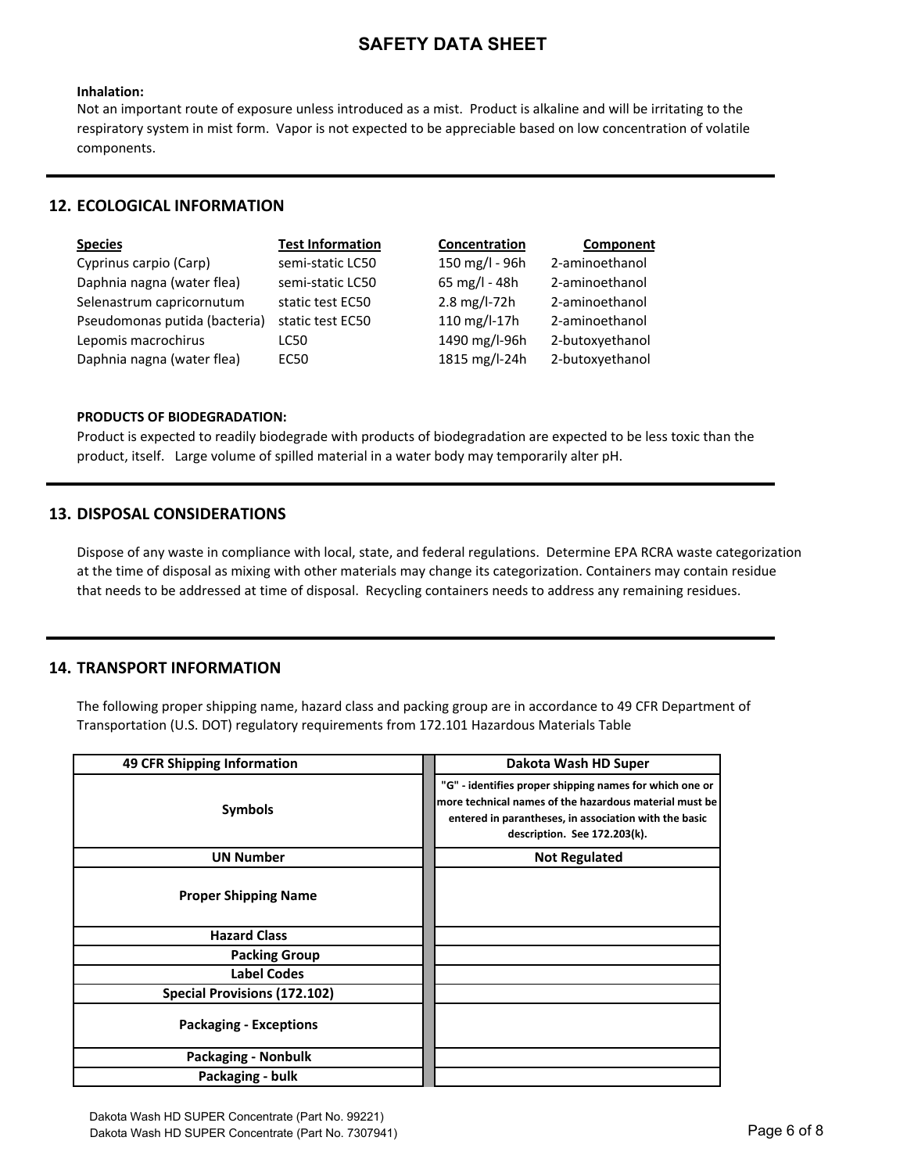#### **Inhalation:**

Not an important route of exposure unless introduced as a mist. Product is alkaline and will be irritating to the respiratory system in mist form. Vapor is not expected to be appreciable based on low concentration of volatile components.

#### **12. ECOLOGICAL INFORMATION**

| <b>Species</b>                | <b>Test Information</b> | Concentration  | Component       |
|-------------------------------|-------------------------|----------------|-----------------|
| Cyprinus carpio (Carp)        | semi-static LC50        | 150 mg/l - 96h | 2-aminoethanol  |
| Daphnia nagna (water flea)    | semi-static LC50        | 65 mg/l - 48h  | 2-aminoethanol  |
| Selenastrum capricornutum     | static test EC50        | 2.8 mg/l-72h   | 2-aminoethanol  |
| Pseudomonas putida (bacteria) | static test EC50        | 110 mg/l-17h   | 2-aminoethanol  |
| Lepomis macrochirus           | LC50                    | 1490 mg/l-96h  | 2-butoxyethanol |
| Daphnia nagna (water flea)    | EC50                    | 1815 mg/l-24h  | 2-butoxyethanol |

#### **PRODUCTS OF BIODEGRADATION:**

Product is expected to readily biodegrade with products of biodegradation are expected to be less toxic than the product, itself. Large volume of spilled material in a water body may temporarily alter pH.

#### **13. DISPOSAL CONSIDERATIONS**

Dispose of any waste in compliance with local, state, and federal regulations. Determine EPA RCRA waste categorization at the time of disposal as mixing with other materials may change its categorization. Containers may contain residue that needs to be addressed at time of disposal. Recycling containers needs to address any remaining residues.

### **14. TRANSPORT INFORMATION**

The following proper shipping name, hazard class and packing group are in accordance to 49 CFR Department of Transportation (U.S. DOT) regulatory requirements from 172.101 Hazardous Materials Table

| 49 CFR Shipping Information         | Dakota Wash HD Super                                                                                                                                                                                       |
|-------------------------------------|------------------------------------------------------------------------------------------------------------------------------------------------------------------------------------------------------------|
| <b>Symbols</b>                      | "G" - identifies proper shipping names for which one or<br>more technical names of the hazardous material must be<br>entered in parantheses, in association with the basic<br>description. See 172.203(k). |
| <b>UN Number</b>                    | <b>Not Regulated</b>                                                                                                                                                                                       |
| <b>Proper Shipping Name</b>         |                                                                                                                                                                                                            |
| <b>Hazard Class</b>                 |                                                                                                                                                                                                            |
| <b>Packing Group</b>                |                                                                                                                                                                                                            |
| Label Codes                         |                                                                                                                                                                                                            |
| <b>Special Provisions (172.102)</b> |                                                                                                                                                                                                            |
| <b>Packaging - Exceptions</b>       |                                                                                                                                                                                                            |
| Packaging - Nonbulk                 |                                                                                                                                                                                                            |
| Packaging - bulk                    |                                                                                                                                                                                                            |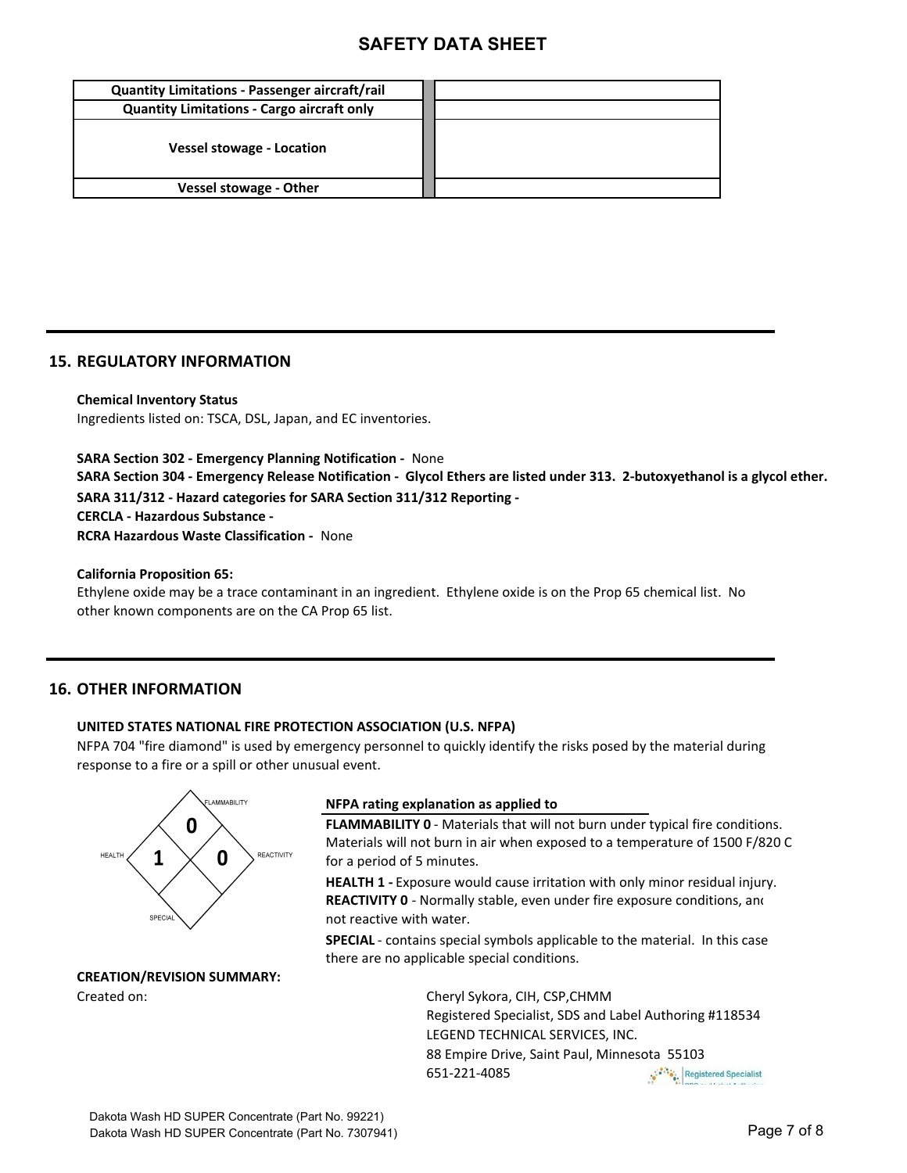| <b>Quantity Limitations - Passenger aircraft/rail</b> |  |
|-------------------------------------------------------|--|
| <b>Quantity Limitations - Cargo aircraft only</b>     |  |
| <b>Vessel stowage - Location</b>                      |  |
| <b>Vessel stowage - Other</b>                         |  |

#### **15. REGULATORY INFORMATION**

**Chemical Inventory Status** Ingredients listed on: TSCA, DSL, Japan, and EC inventories.

**SARA Section 302 - Emergency Planning Notification - None** SARA Section 304 - Emergency Release Notification - Glycol Ethers are listed under 313. 2-butoxyethanol is a glycol ether. SARA 311/312 - Hazard categories for SARA Section 311/312 Reporting -**CERCLA - Hazardous Substance -RCRA Hazardous Waste Classification - None** 

**California Proposition 65:** 

Ethylene oxide may be a trace contaminant in an ingredient. Ethylene oxide is on the Prop 65 chemical list. No other known components are on the CA Prop 65 list.

#### **16. OTHER INFORMATION**

#### **UNITED STATES NATIONAL FIRE PROTECTION ASSOCIATION (U.S. NFPA)**

NFPA 704 "fire diamond" is used by emergency personnel to quickly identify the risks posed by the material during response to a fire or a spill or other unusual event.



# **CREATION/REVISION SUMMARY:**

#### **NFPA** rating explanation as applied to

**FLAMMABILITY 0** - Materials that will not burn under typical fire conditions. Materials will not burn in air when exposed to a temperature of 1500 F/820 C for a period of 5 minutes.

**HEALTH 1** - Exposure would cause irritation with only minor residual injury. not reactive with water. **REACTIVITY 0** - Normally stable, even under fire exposure conditions, and

**SPECIAL** - contains special symbols applicable to the material. In this case there are no applicable special conditions.

Created on: Cheryl Sykora, CIH, CSP,CHMM Registered Specialist, SDS and Label Authoring #118534 LEGEND TECHNICAL SERVICES, INC. 88 Empire Drive, Saint Paul, Minnesota 55103 651-221-4085 Registered Specialist